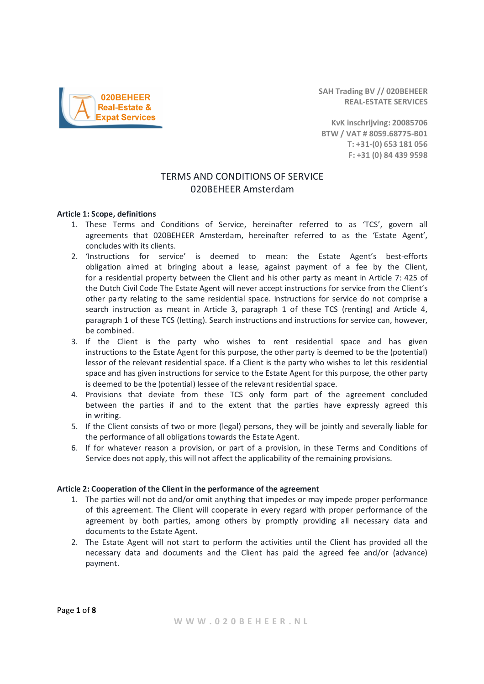SAH Trading BV // 020BEHEER REAL-ESTATE SERVICES

KvK inschrijving: 20085706 BTW / VAT # 8059.68775-B01 T: +31-(0) 653 181 056 F: +31 (0) 84 439 9598

# TERMS AND CONDITIONS OF SERVICE 020BEHEER Amsterdam

### Article 1: Scope, definitions

- 1. These Terms and Conditions of Service, hereinafter referred to as 'TCS', govern all agreements that 020BEHEER Amsterdam, hereinafter referred to as the 'Estate Agent', concludes with its clients.
- 2. 'Instructions for service' is deemed to mean: the Estate Agent's best-efforts obligation aimed at bringing about a lease, against payment of a fee by the Client, for a residential property between the Client and his other party as meant in Article 7: 425 of the Dutch Civil Code The Estate Agent will never accept instructions for service from the Client's other party relating to the same residential space. Instructions for service do not comprise a search instruction as meant in Article 3, paragraph 1 of these TCS (renting) and Article 4, paragraph 1 of these TCS (letting). Search instructions and instructions for service can, however, be combined.
- 3. If the Client is the party who wishes to rent residential space and has given instructions to the Estate Agent for this purpose, the other party is deemed to be the (potential) lessor of the relevant residential space. If a Client is the party who wishes to let this residential space and has given instructions for service to the Estate Agent for this purpose, the other party is deemed to be the (potential) lessee of the relevant residential space.
- 4. Provisions that deviate from these TCS only form part of the agreement concluded between the parties if and to the extent that the parties have expressly agreed this in writing.
- 5. If the Client consists of two or more (legal) persons, they will be jointly and severally liable for the performance of all obligations towards the Estate Agent.
- 6. If for whatever reason a provision, or part of a provision, in these Terms and Conditions of Service does not apply, this will not affect the applicability of the remaining provisions.

### Article 2: Cooperation of the Client in the performance of the agreement

- 1. The parties will not do and/or omit anything that impedes or may impede proper performance of this agreement. The Client will cooperate in every regard with proper performance of the agreement by both parties, among others by promptly providing all necessary data and documents to the Estate Agent.
- 2. The Estate Agent will not start to perform the activities until the Client has provided all the necessary data and documents and the Client has paid the agreed fee and/or (advance) payment.

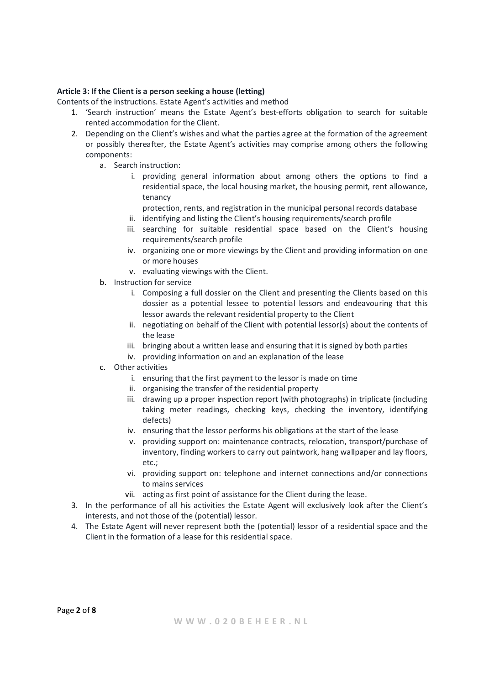# Article 3: If the Client is a person seeking a house (letting)

Contents of the instructions. Estate Agent's activities and method

- 1. 'Search instruction' means the Estate Agent's best-efforts obligation to search for suitable rented accommodation for the Client.
- 2. Depending on the Client's wishes and what the parties agree at the formation of the agreement or possibly thereafter, the Estate Agent's activities may comprise among others the following components:
	- a. Search instruction:
		- i. providing general information about among others the options to find a residential space, the local housing market, the housing permit, rent allowance, tenancy

protection, rents, and registration in the municipal personal records database

- ii. identifying and listing the Client's housing requirements/search profile
- iii. searching for suitable residential space based on the Client's housing requirements/search profile
- iv. organizing one or more viewings by the Client and providing information on one or more houses
- v. evaluating viewings with the Client.
- b. Instruction for service
	- i. Composing a full dossier on the Client and presenting the Clients based on this dossier as a potential lessee to potential lessors and endeavouring that this lessor awards the relevant residential property to the Client
	- ii. negotiating on behalf of the Client with potential lessor(s) about the contents of the lease
	- iii. bringing about a written lease and ensuring that it is signed by both parties
	- iv. providing information on and an explanation of the lease
- c. Other activities
	- i. ensuring that the first payment to the lessor is made on time
	- ii. organising the transfer of the residential property
	- iii. drawing up a proper inspection report (with photographs) in triplicate (including taking meter readings, checking keys, checking the inventory, identifying defects)
	- iv. ensuring that the lessor performs his obligations at the start of the lease
	- v. providing support on: maintenance contracts, relocation, transport/purchase of inventory, finding workers to carry out paintwork, hang wallpaper and lay floors, etc.;
	- vi. providing support on: telephone and internet connections and/or connections to mains services
	- vii. acting as first point of assistance for the Client during the lease.
- 3. In the performance of all his activities the Estate Agent will exclusively look after the Client's interests, and not those of the (potential) lessor.
- 4. The Estate Agent will never represent both the (potential) lessor of a residential space and the Client in the formation of a lease for this residential space.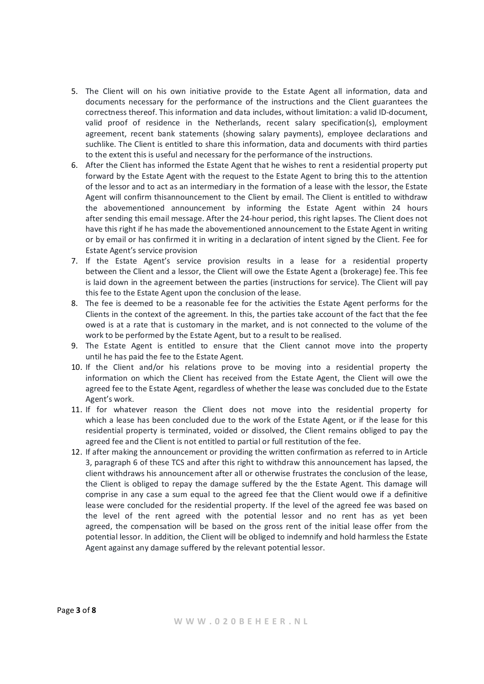- 5. The Client will on his own initiative provide to the Estate Agent all information, data and documents necessary for the performance of the instructions and the Client guarantees the correctness thereof. This information and data includes, without limitation: a valid ID-document, valid proof of residence in the Netherlands, recent salary specification(s), employment agreement, recent bank statements (showing salary payments), employee declarations and suchlike. The Client is entitled to share this information, data and documents with third parties to the extent this is useful and necessary for the performance of the instructions.
- 6. After the Client has informed the Estate Agent that he wishes to rent a residential property put forward by the Estate Agent with the request to the Estate Agent to bring this to the attention of the lessor and to act as an intermediary in the formation of a lease with the lessor, the Estate Agent will confirm thisannouncement to the Client by email. The Client is entitled to withdraw the abovementioned announcement by informing the Estate Agent within 24 hours after sending this email message. After the 24-hour period, this right lapses. The Client does not have this right if he has made the abovementioned announcement to the Estate Agent in writing or by email or has confirmed it in writing in a declaration of intent signed by the Client. Fee for Estate Agent's service provision
- 7. If the Estate Agent's service provision results in a lease for a residential property between the Client and a lessor, the Client will owe the Estate Agent a (brokerage) fee. This fee is laid down in the agreement between the parties (instructions for service). The Client will pay this fee to the Estate Agent upon the conclusion of the lease.
- 8. The fee is deemed to be a reasonable fee for the activities the Estate Agent performs for the Clients in the context of the agreement. In this, the parties take account of the fact that the fee owed is at a rate that is customary in the market, and is not connected to the volume of the work to be performed by the Estate Agent, but to a result to be realised.
- 9. The Estate Agent is entitled to ensure that the Client cannot move into the property until he has paid the fee to the Estate Agent.
- 10. If the Client and/or his relations prove to be moving into a residential property the information on which the Client has received from the Estate Agent, the Client will owe the agreed fee to the Estate Agent, regardless of whether the lease was concluded due to the Estate Agent's work.
- 11. If for whatever reason the Client does not move into the residential property for which a lease has been concluded due to the work of the Estate Agent, or if the lease for this residential property is terminated, voided or dissolved, the Client remains obliged to pay the agreed fee and the Client is not entitled to partial or full restitution of the fee.
- 12. If after making the announcement or providing the written confirmation as referred to in Article 3, paragraph 6 of these TCS and after this right to withdraw this announcement has lapsed, the client withdraws his announcement after all or otherwise frustrates the conclusion of the lease, the Client is obliged to repay the damage suffered by the the Estate Agent. This damage will comprise in any case a sum equal to the agreed fee that the Client would owe if a definitive lease were concluded for the residential property. If the level of the agreed fee was based on the level of the rent agreed with the potential lessor and no rent has as yet been agreed, the compensation will be based on the gross rent of the initial lease offer from the potential lessor. In addition, the Client will be obliged to indemnify and hold harmless the Estate Agent against any damage suffered by the relevant potential lessor.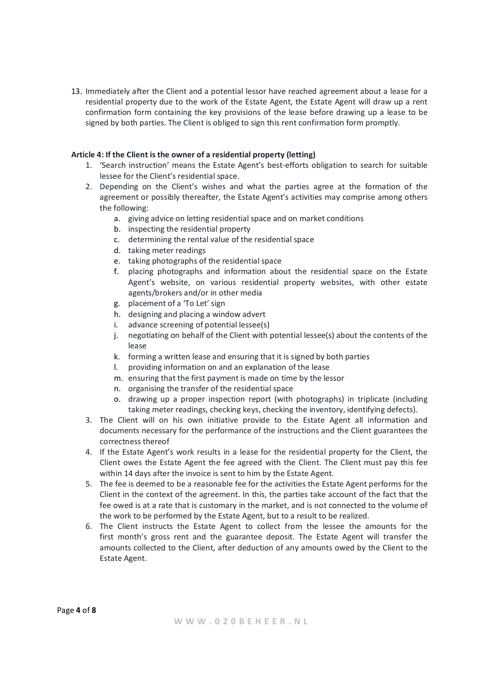13. Immediately after the Client and a potential lessor have reached agreement about a lease for a residential property due to the work of the Estate Agent, the Estate Agent will draw up a rent confirmation form containing the key provisions of the lease before drawing up a lease to be signed by both parties. The Client is obliged to sign this rent confirmation form promptly.

# Article 4: If the Client is the owner of a residential property (letting)

- 1. 'Search instruction' means the Estate Agent's best-efforts obligation to search for suitable lessee for the Client's residential space.
- 2. Depending on the Client's wishes and what the parties agree at the formation of the agreement or possibly thereafter, the Estate Agent's activities may comprise among others the following:
	- a. giving advice on letting residential space and on market conditions
	- b. inspecting the residential property
	- c. determining the rental value of the residential space
	- d. taking meter readings
	- e. taking photographs of the residential space
	- f. placing photographs and information about the residential space on the Estate Agent's website, on various residential property websites, with other estate agents/brokers and/or in other media
	- g. placement of a 'To Let' sign
	- h. designing and placing a window advert
	- i. advance screening of potential lessee(s)
	- j. negotiating on behalf of the Client with potential lessee(s) about the contents of the lease
	- k. forming a written lease and ensuring that it is signed by both parties
	- l. providing information on and an explanation of the lease
	- m. ensuring that the first payment is made on time by the lessor
	- n. organising the transfer of the residential space
	- o. drawing up a proper inspection report (with photographs) in triplicate (including taking meter readings, checking keys, checking the inventory, identifying defects).
- 3. The Client will on his own initiative provide to the Estate Agent all information and documents necessary for the performance of the instructions and the Client guarantees the correctness thereof
- 4. If the Estate Agent's work results in a lease for the residential property for the Client, the Client owes the Estate Agent the fee agreed with the Client. The Client must pay this fee within 14 days after the invoice is sent to him by the Estate Agent.
- 5. The fee is deemed to be a reasonable fee for the activities the Estate Agent performs for the Client in the context of the agreement. In this, the parties take account of the fact that the fee owed is at a rate that is customary in the market, and is not connected to the volume of the work to be performed by the Estate Agent, but to a result to be realized.
- 6. The Client instructs the Estate Agent to collect from the lessee the amounts for the first month's gross rent and the guarantee deposit. The Estate Agent will transfer the amounts collected to the Client, after deduction of any amounts owed by the Client to the Estate Agent.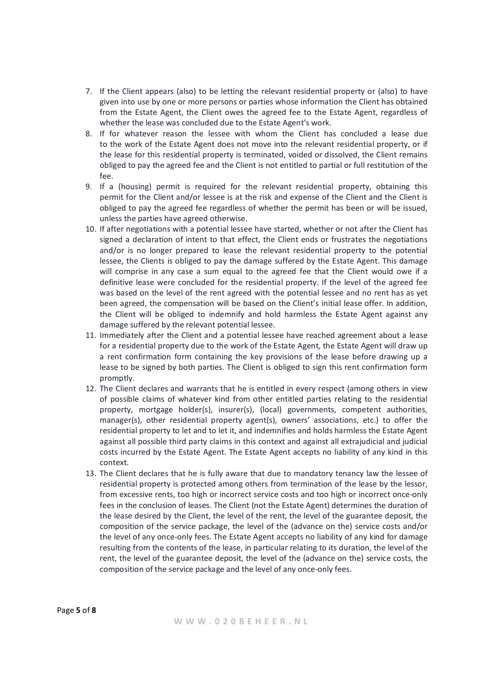- 7. If the Client appears (also) to be letting the relevant residential property or (also) to have given into use by one or more persons or parties whose information the Client has obtained from the Estate Agent, the Client owes the agreed fee to the Estate Agent, regardless of whether the lease was concluded due to the Estate Agent's work.
- 8. If for whatever reason the lessee with whom the Client has concluded a lease due to the work of the Estate Agent does not move into the relevant residential property, or if the lease for this residential property is terminated, voided or dissolved, the Client remains obliged to pay the agreed fee and the Client is not entitled to partial or full restitution of the  $f_{\mathsf{A}}$
- 9. If a (housing) permit is required for the relevant residential property, obtaining this permit for the Client and/or lessee is at the risk and expense of the Client and the Client is obliged to pay the agreed fee regardless of whether the permit has been or will be issued, unless the parties have agreed otherwise.
- 10. If after negotiations with a potential lessee have started, whether or not after the Client has signed a declaration of intent to that effect, the Client ends or frustrates the negotiations and/or is no longer prepared to lease the relevant residential property to the potential lessee, the Clients is obliged to pay the damage suffered by the Estate Agent. This damage will comprise in any case a sum equal to the agreed fee that the Client would owe if a definitive lease were concluded for the residential property. If the level of the agreed fee was based on the level of the rent agreed with the potential lessee and no rent has as yet been agreed, the compensation will be based on the Client's initial lease offer. In addition, the Client will be obliged to indemnify and hold harmless the Estate Agent against any damage suffered by the relevant potential lessee.
- 11. Immediately after the Client and a potential lessee have reached agreement about a lease for a residential property due to the work of the Estate Agent, the Estate Agent will draw up a rent confirmation form containing the key provisions of the lease before drawing up a lease to be signed by both parties. The Client is obliged to sign this rent confirmation form promptly.
- 12. The Client declares and warrants that he is entitled in every respect (among others in view of possible claims of whatever kind from other entitled parties relating to the residential property, mortgage holder(s), insurer(s), (local) governments, competent authorities, manager(s), other residential property agent(s), owners' associations, etc.) to offer the residential property to let and to let it, and indemnifies and holds harmless the Estate Agent against all possible third party claims in this context and against all extrajudicial and judicial costs incurred by the Estate Agent. The Estate Agent accepts no liability of any kind in this context.
- 13. The Client declares that he is fully aware that due to mandatory tenancy law the lessee of residential property is protected among others from termination of the lease by the lessor, from excessive rents, too high or incorrect service costs and too high or incorrect once-only fees in the conclusion of leases. The Client (not the Estate Agent) determines the duration of the lease desired by the Client, the level of the rent, the level of the guarantee deposit, the composition of the service package, the level of the (advance on the) service costs and/or the level of any once-only fees. The Estate Agent accepts no liability of any kind for damage resulting from the contents of the lease, in particular relating to its duration, the level of the rent, the level of the guarantee deposit, the level of the (advance on the) service costs, the composition of the service package and the level of any once-only fees.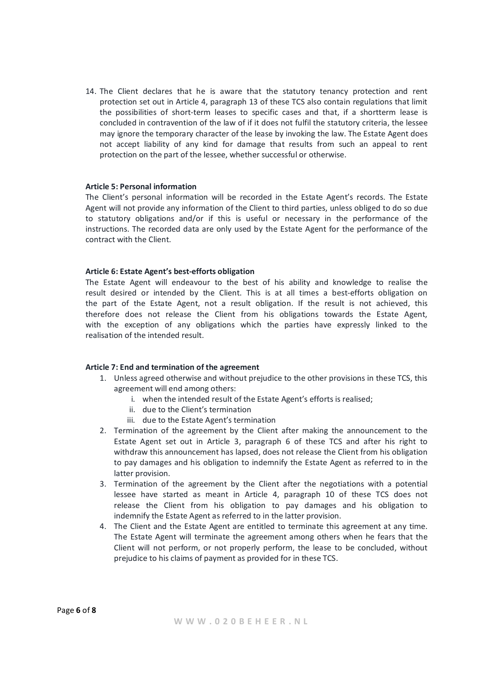14. The Client declares that he is aware that the statutory tenancy protection and rent protection set out in Article 4, paragraph 13 of these TCS also contain regulations that limit the possibilities of short-term leases to specific cases and that, if a shortterm lease is concluded in contravention of the law of if it does not fulfil the statutory criteria, the lessee may ignore the temporary character of the lease by invoking the law. The Estate Agent does not accept liability of any kind for damage that results from such an appeal to rent protection on the part of the lessee, whether successful or otherwise.

### Article 5: Personal information

The Client's personal information will be recorded in the Estate Agent's records. The Estate Agent will not provide any information of the Client to third parties, unless obliged to do so due to statutory obligations and/or if this is useful or necessary in the performance of the instructions. The recorded data are only used by the Estate Agent for the performance of the contract with the Client.

#### Article 6: Estate Agent's best-efforts obligation

The Estate Agent will endeavour to the best of his ability and knowledge to realise the result desired or intended by the Client. This is at all times a best-efforts obligation on the part of the Estate Agent, not a result obligation. If the result is not achieved, this therefore does not release the Client from his obligations towards the Estate Agent, with the exception of any obligations which the parties have expressly linked to the realisation of the intended result.

### Article 7: End and termination of the agreement

- 1. Unless agreed otherwise and without prejudice to the other provisions in these TCS, this agreement will end among others:
	- i. when the intended result of the Estate Agent's efforts is realised;
	- ii. due to the Client's termination
	- iii. due to the Estate Agent's termination
- 2. Termination of the agreement by the Client after making the announcement to the Estate Agent set out in Article 3, paragraph 6 of these TCS and after his right to withdraw this announcement has lapsed, does not release the Client from his obligation to pay damages and his obligation to indemnify the Estate Agent as referred to in the latter provision.
- 3. Termination of the agreement by the Client after the negotiations with a potential lessee have started as meant in Article 4, paragraph 10 of these TCS does not release the Client from his obligation to pay damages and his obligation to indemnify the Estate Agent as referred to in the latter provision.
- 4. The Client and the Estate Agent are entitled to terminate this agreement at any time. The Estate Agent will terminate the agreement among others when he fears that the Client will not perform, or not properly perform, the lease to be concluded, without prejudice to his claims of payment as provided for in these TCS.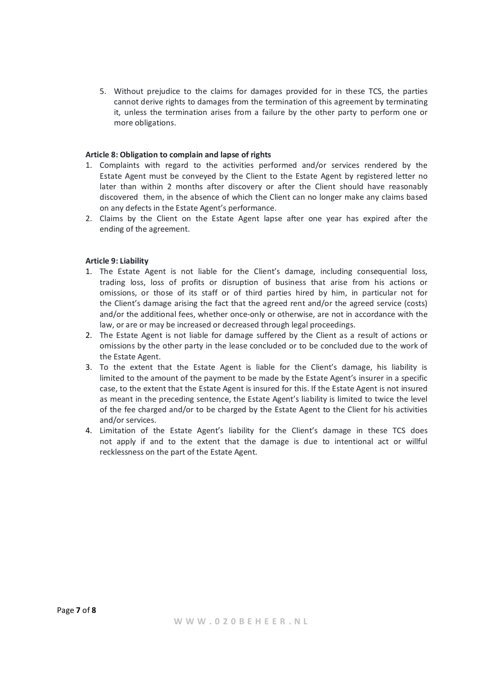5. Without prejudice to the claims for damages provided for in these TCS, the parties cannot derive rights to damages from the termination of this agreement by terminating it, unless the termination arises from a failure by the other party to perform one or more obligations.

# Article 8: Obligation to complain and lapse of rights

- 1. Complaints with regard to the activities performed and/or services rendered by the Estate Agent must be conveyed by the Client to the Estate Agent by registered letter no later than within 2 months after discovery or after the Client should have reasonably discovered them, in the absence of which the Client can no longer make any claims based on any defects in the Estate Agent's performance.
- 2. Claims by the Client on the Estate Agent lapse after one year has expired after the ending of the agreement.

# Article 9: Liability

- 1. The Estate Agent is not liable for the Client's damage, including consequential loss, trading loss, loss of profits or disruption of business that arise from his actions or omissions, or those of its staff or of third parties hired by him, in particular not for the Client's damage arising the fact that the agreed rent and/or the agreed service (costs) and/or the additional fees, whether once-only or otherwise, are not in accordance with the law, or are or may be increased or decreased through legal proceedings.
- 2. The Estate Agent is not liable for damage suffered by the Client as a result of actions or omissions by the other party in the lease concluded or to be concluded due to the work of the Estate Agent.
- 3. To the extent that the Estate Agent is liable for the Client's damage, his liability is limited to the amount of the payment to be made by the Estate Agent's insurer in a specific case, to the extent that the Estate Agent is insured for this. If the Estate Agent is not insured as meant in the preceding sentence, the Estate Agent's liability is limited to twice the level of the fee charged and/or to be charged by the Estate Agent to the Client for his activities and/or services.
- 4. Limitation of the Estate Agent's liability for the Client's damage in these TCS does not apply if and to the extent that the damage is due to intentional act or willful recklessness on the part of the Estate Agent.